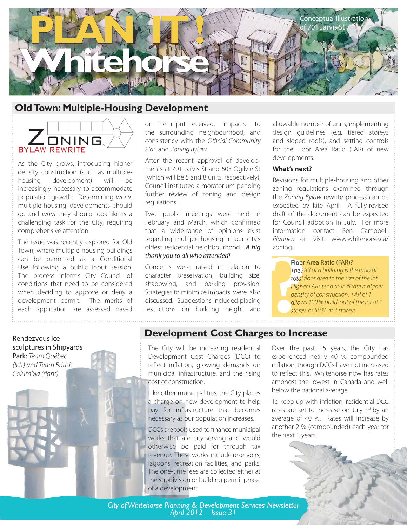

# **Old Town: Multiple-Housing Development**



As the City grows, introducing higher density construction (such as multiplehousing development) will be increasingly necessary to accommodate population growth. Determining where multiple-housing developments should go and what they should look like is a challenging task for the City, requiring comprehensive attention.

The issue was recently explored for Old Town, where multiple-housing buildings can be permitted as a Conditional Use following a public input session. The process informs City Council of conditions that need to be considered when deciding to approve or deny a development permit. The merits of each application are assessed based

on the input received, impacts to the surrounding neighbourhood, and consistency with the Official Community Plan and Zoning Bylaw.

After the recent approval of developments at 701 Jarvis St and 603 Ogilvie St (which will be 5 and 8 units, respectively), Council instituted a moratorium pending further review of zoning and design regulations.

Two public meetings were held in February and March, which confirmed that a wide-range of opinions exist regarding multiple-housing in our city's oldest residential neighbourhood. A big thank you to all who attended!

Concerns were raised in relation to character preservation, building size, shadowing, and parking provision. Strategies to minimize impacts were also discussed. Suggestions included placing restrictions on building height and allowable number of units, implementing design guidelines (e.g. tiered storeys and sloped roofs), and setting controls for the Floor Area Ratio (FAR) of new developments.

#### **What's next?**

Revisions for multiple-housing and other zoning regulations examined through the Zoning Bylaw rewrite process can be expected by late April. A fully-revised draft of the document can be expected for Council adoption in July. For more information contact Ben Campbell, Planner, or visit www.whitehorse.ca/ zoning.

**Floor Area Ratio (FAR)?** 

**Property**<br> **Property**<br> **Property**<br> **Property**<br> **Property**<br> **Property**<br> **Property**<br> **Property**<br> **Property**<br> **Property**<br> **Property** The FAR of a building is the ratio of total floor area to the size of the lot. Higher FARs tend to indicate a higher density of construction. FAR of 1 allows 100 % build-out of the lot at 1 storey, or 50 % at 2 storeys.

Rendezvous ice sculptures in Shipyards Park: Team Québec (left) and Team British Columbia (right)

## **Development Cost Charges to Increase**

The City will be increasing residential Development Cost Charges (DCC) to reflect inflation, growing demands on municipal infrastructure, and the rising cost of construction.

Like other municipalities, the City places a charge on new development to help pay for infrastructure that becomes necessary as our population increases.

DCCs are tools used to finance municipal works that are city-serving and would otherwise be paid for through tax revenue. These works include reservoirs, lagoons, recreation facilities, and parks. The one-time fees are collected either at the subdivision or building permit phase of a development.

Over the past 15 years, the City has experienced nearly 40 % compounded inflation, though DCCs have not increased to reflect this. Whitehorse now has rates amongst the lowest in Canada and well below the national average.

To keep up with inflation, residential DCC rates are set to increase on July 1<sup>st</sup> by an average of 40 %. Rates will increase by another 2 % (compounded) each year for the next 3 years.



*City of Whitehorse Planning & Development Services Newsletter April 2012 – Issue 31*